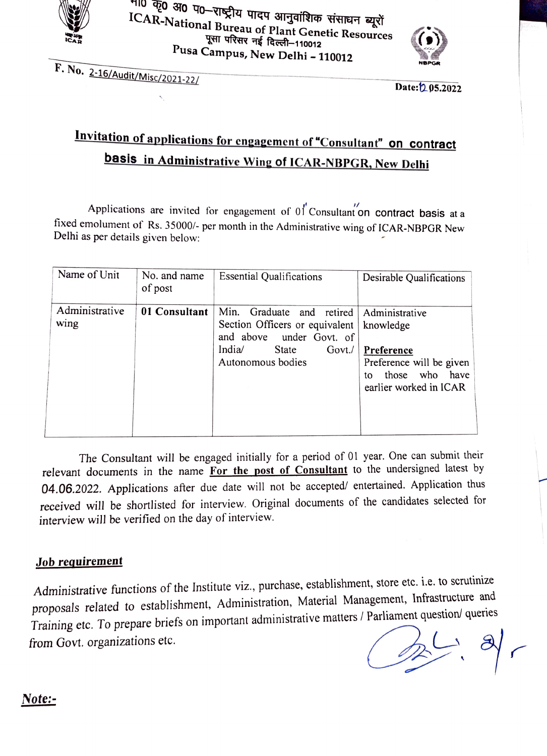

गण कृ0 अ0 प0—राष्ट्रीय पादप आनुवांशिक संसाधन ब्यूरों<br>ICAR-National Bureau of Plant Genetic Resources<br>पुसा परिसर नई दिल्ली–110012 Pusa Campus, New Delhi - 110012



F. No. 2-16/Audit/Misc/2021-221

Date: 205.2022

## Invitation of applications for engagement of "Consultant" on contract basis in Administrative Wing of ICAR-NBPGR, New Delhi

Applications are invited for engagement of  $01$ <sup>"</sup>Consultant on contract basis at a fixed emolument of Rs. 35000/- per month in the Administrative wing of ICAR-NBPGR New Delhi as per details given below:

| Name of Unit           | No. and name<br>of post | <b>Essential Qualifications</b>                                                                                                                      | Desirable Qualifications                                                                                                   |
|------------------------|-------------------------|------------------------------------------------------------------------------------------------------------------------------------------------------|----------------------------------------------------------------------------------------------------------------------------|
| Administrative<br>wing | 01 Consultant           | Min.<br>Graduate<br>and retired<br>Section Officers or equivalent<br>and above<br>under Govt. of<br>India<br>State<br>$Govt$ ./<br>Autonomous bodies | Administrative<br>knowledge<br>Preference<br>Preference will be given<br>those who<br>have<br>tο<br>earlier worked in ICAR |

The Consultant will be engaged initially for a period of 01 year. One can submit their relevant documents in the name For the post of Consultant to the undersigned latest by 04.06.2022. Applications after due date will not be accepted/ entertained. Application thus received will be shortlisted for interview. Original documents of the candidates selected for interview will be verified on the day of interview.

### Job requirement

Administrative functions of the Institute viz., purchase, establishment, store etc. i.e. to scrutinize proposals related to establishment, Administration, Material Management, Infrastructure and Training etc. To prepare briefs on important administrative matters/ Parliament question/ queries from Govt. organizations etc.

## Note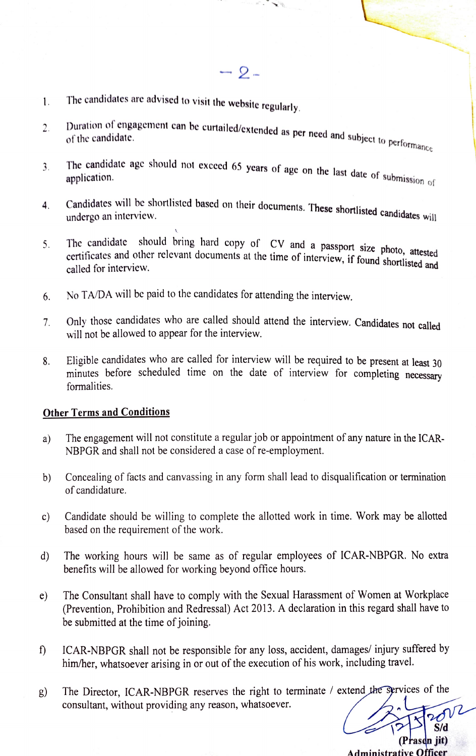- $-2-$
- 1. The candidates are advised to visit the website regularly.
- Duration of engagement can be curtailed/extended as per need and subject to performance<br>of the candidate.  $2.$ of the candidate.
- The candidate age should not exceed 65 years of age on the last date of submission<br>application. 3.
- Candidates will be shortlisted based on their documents. These shortlisted candidates will<br>undergo an interview. 4.
- The candidate should bring hard copy of CV and a passport size photo, attested certificates and other relevant documents at the time of interview, if found shortlisted and called for interview. 5.
- 6. No TA/DA will be paid to the candidates for attending the interview
- Onlv those candidates who are called should attend the interview. Candidates not called  $7<sup>1</sup>$ will not be allowed to appear for the interview.
- 8. Eligible candidates who are called for interview will be required to be present at least 30 minutes before scheduled time on the date of interview for completing necessary formalities.

#### Other Terms and Conditions

- a) The engagement will not constitute a regular job or appointment of any nature in the ICAR-NBPGR and shall not be considered a case of re-employment.
- b) Concealing of facts and canvassing in any form shall lead to disqualification or termination of candidature.
- c) Candidate should be willing to complete the allotted work in time. Work may be allotted based on the requirement of the work.
- d) The working hours will be same as of regular employees of ICAR-NBPGR. No extra benefits will be allowed for working beyond office hours.
- e) The Consultant shall have to comply with the Sexual Harassment of Women at Workplace (Prevention, Prohibition and Redressal) Act 2013. A declaration in this regard shall have to be submitted at the time of joining
- ICAR-NBPGR shall not be responsible for any loss, accident, damages/ injury suffered by  $\mathbf{f}$ him/her, whatsoever arising in or out of the execution of his work, including travel.
- g) The Director, ICAR-NBPGR reserves the right to terminate / extend the Sprvices of the consultant, without providing any reason, whatsoever.

S/d

(Prasdn jit) Administrative officer